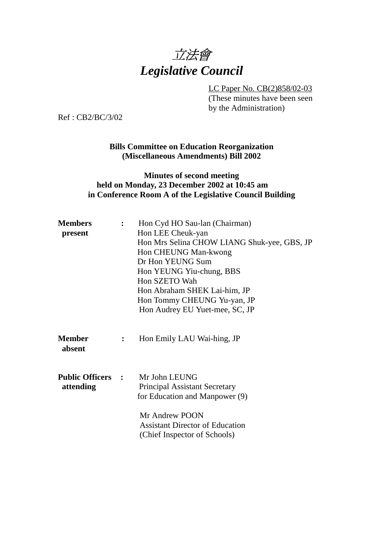

LC Paper No. CB(2)858/02-03

(These minutes have been seen by the Administration)

Ref : CB2/BC/3/02

### **Bills Committee on Education Reorganization (Miscellaneous Amendments) Bill 2002**

### **Minutes of second meeting held on Monday, 23 December 2002 at 10:45 am in Conference Room A of the Legislative Council Building**

| <b>Members</b><br>$\mathbf{L}$<br>Hon LEE Cheuk-yan<br>present |                | Hon Cyd HO Sau-lan (Chairman)<br>Hon Mrs Selina CHOW LIANG Shuk-yee, GBS, JP<br>Hon CHEUNG Man-kwong                                                           |
|----------------------------------------------------------------|----------------|----------------------------------------------------------------------------------------------------------------------------------------------------------------|
|                                                                |                | Dr Hon YEUNG Sum<br>Hon YEUNG Yiu-chung, BBS<br>Hon SZETO Wah<br>Hon Abraham SHEK Lai-him, JP<br>Hon Tommy CHEUNG Yu-yan, JP<br>Hon Audrey EU Yuet-mee, SC, JP |
| <b>Member</b><br>absent                                        | $\ddot{\cdot}$ | Hon Emily LAU Wai-hing, JP                                                                                                                                     |
| <b>Public Officers :</b><br>attending                          |                | Mr John LEUNG<br><b>Principal Assistant Secretary</b><br>for Education and Manpower (9)                                                                        |
|                                                                |                | Mr Andrew POON<br><b>Assistant Director of Education</b><br>(Chief Inspector of Schools)                                                                       |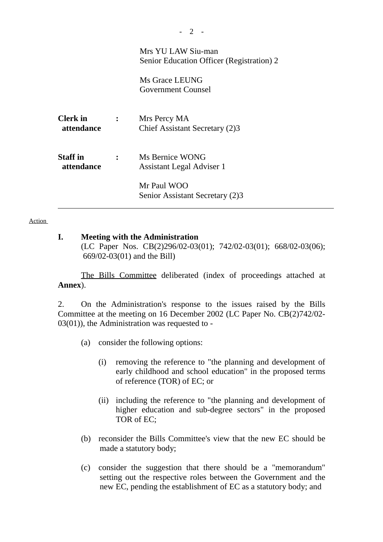|                               |              | Mrs YU LAW Siu-man<br>Senior Education Officer (Registration) 2<br>Ms Grace LEUNG<br>Government Counsel |
|-------------------------------|--------------|---------------------------------------------------------------------------------------------------------|
| <b>Clerk</b> in<br>attendance | $\mathbf{L}$ | Mrs Percy MA<br>Chief Assistant Secretary (2)3                                                          |
| <b>Staff</b> in<br>attendance |              | Ms Bernice WONG<br>Assistant Legal Adviser 1<br>Mr Paul WOO<br>Senior Assistant Secretary (2)3          |

- 2 -

#### **Action**

### **I. Meeting with the Administration**

(LC Paper Nos. CB(2)296/02-03(01); 742/02-03(01); 668/02-03(06); 669/02-03(01) and the Bill)

The Bills Committee deliberated (index of proceedings attached at **Annex**).

2. On the Administration's response to the issues raised by the Bills Committee at the meeting on 16 December 2002 (LC Paper No. CB(2)742/02- 03(01)), the Administration was requested to -

- (a) consider the following options:
	- (i) removing the reference to "the planning and development of early childhood and school education" in the proposed terms of reference (TOR) of EC; or
	- (ii) including the reference to "the planning and development of higher education and sub-degree sectors" in the proposed TOR of EC;
- (b) reconsider the Bills Committee's view that the new EC should be made a statutory body;
- (c) consider the suggestion that there should be a "memorandum" setting out the respective roles between the Government and the new EC, pending the establishment of EC as a statutory body; and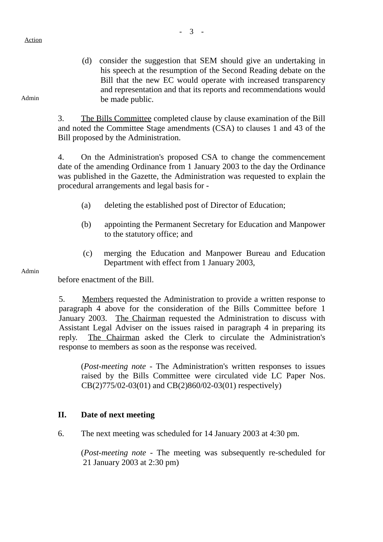#### Action

(d) consider the suggestion that SEM should give an undertaking in his speech at the resumption of the Second Reading debate on the Bill that the new EC would operate with increased transparency and representation and that its reports and recommendations would be made public.

3. The Bills Committee completed clause by clause examination of the Bill and noted the Committee Stage amendments (CSA) to clauses 1 and 43 of the Bill proposed by the Administration.

4. On the Administration's proposed CSA to change the commencement date of the amending Ordinance from 1 January 2003 to the day the Ordinance was published in the Gazette, the Administration was requested to explain the procedural arrangements and legal basis for -

- (a) deleting the established post of Director of Education;
- (b) appointing the Permanent Secretary for Education and Manpower to the statutory office; and
- (c) merging the Education and Manpower Bureau and Education Department with effect from 1 January 2003,

#### Admin

before enactment of the Bill.

5. Members requested the Administration to provide a written response to paragraph 4 above for the consideration of the Bills Committee before 1 January 2003. The Chairman requested the Administration to discuss with Assistant Legal Adviser on the issues raised in paragraph 4 in preparing its reply. The Chairman asked the Clerk to circulate the Administration's response to members as soon as the response was received.

(*Post-meeting note -* The Administration's written responses to issues raised by the Bills Committee were circulated vide LC Paper Nos. CB(2)775/02-03(01) and CB(2)860/02-03(01) respectively)

### **II. Date of next meeting**

6. The next meeting was scheduled for 14 January 2003 at 4:30 pm.

(*Post-meeting note -* The meeting was subsequently re-scheduled for 21 January 2003 at 2:30 pm)

Admin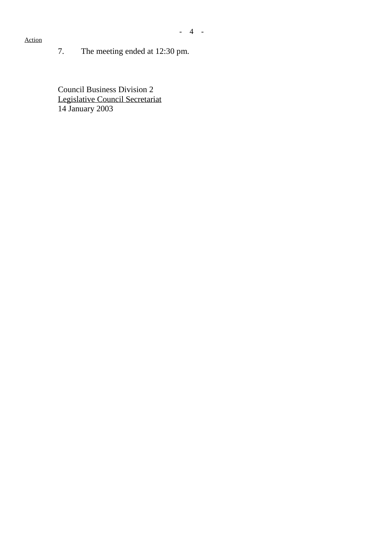*-* 4 -

## Action

7. The meeting ended at 12:30 pm.

Council Business Division 2 Legislative Council Secretariat 14 January 2003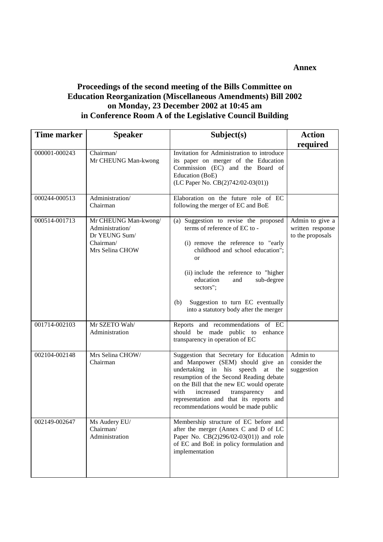#### **Annex**

### **Proceedings of the second meeting of the Bills Committee on Education Reorganization (Miscellaneous Amendments) Bill 2002 on Monday, 23 December 2002 at 10:45 am in Conference Room A of the Legislative Council Building**

| Time marker<br><b>Speaker</b> |                                                                                          | Subject(s)                                                                                                                                                                                                                                                                                                                                 | <b>Action</b>                                           |
|-------------------------------|------------------------------------------------------------------------------------------|--------------------------------------------------------------------------------------------------------------------------------------------------------------------------------------------------------------------------------------------------------------------------------------------------------------------------------------------|---------------------------------------------------------|
|                               |                                                                                          |                                                                                                                                                                                                                                                                                                                                            | required                                                |
| 000001-000243                 | Chairman/<br>Mr CHEUNG Man-kwong                                                         | Invitation for Administration to introduce<br>its paper on merger of the Education<br>Commission (EC) and the Board of<br>Education (BoE)<br>(LC Paper No. CB(2)742/02-03(01))                                                                                                                                                             |                                                         |
| 000244-000513                 | Administration/<br>Chairman                                                              | Elaboration on the future role of EC<br>following the merger of EC and BoE                                                                                                                                                                                                                                                                 |                                                         |
| 000514-001713                 | Mr CHEUNG Man-kwong/<br>Administration/<br>Dr YEUNG Sum/<br>Chairman/<br>Mrs Selina CHOW | (a) Suggestion to revise the proposed<br>terms of reference of EC to -<br>(i) remove the reference to "early<br>childhood and school education";<br>or<br>(ii) include the reference to "higher<br>education<br>and<br>sub-degree<br>sectors";<br>Suggestion to turn EC eventually<br>(b)<br>into a statutory body after the merger        | Admin to give a<br>written response<br>to the proposals |
| 001714-002103                 | Mr SZETO Wah/<br>Administration                                                          | Reports and recommendations of EC<br>should be made public to<br>enhance<br>transparency in operation of EC                                                                                                                                                                                                                                |                                                         |
| 002104-002148                 | Mrs Selina CHOW/<br>Chairman                                                             | Suggestion that Secretary for Education<br>and Manpower (SEM) should give an<br>undertaking in his speech at<br>the<br>resumption of the Second Reading debate<br>on the Bill that the new EC would operate<br>transparency<br>with<br>increased<br>and<br>representation and that its reports and<br>recommendations would be made public | Admin to<br>consider the<br>suggestion                  |
| 002149-002647                 | Ms Audery EU/<br>Chairman/<br>Administration                                             | Membership structure of EC before and<br>after the merger (Annex C and D of LC<br>Paper No. CB(2)296/02-03(01)) and role<br>of EC and BoE in policy formulation and<br>implementation                                                                                                                                                      |                                                         |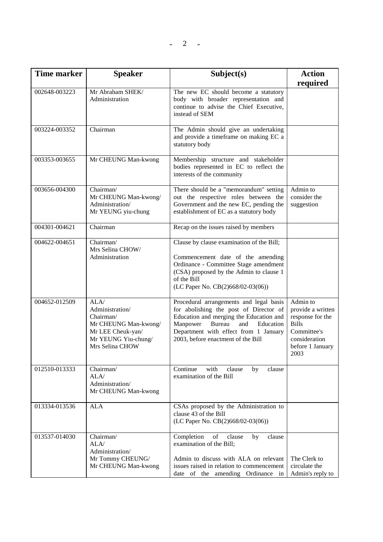| Time marker   | <b>Speaker</b>                                                                                                              | Subject(s)                                                                                                                                                                                                                                            | <b>Action</b><br>required                                                                                                     |
|---------------|-----------------------------------------------------------------------------------------------------------------------------|-------------------------------------------------------------------------------------------------------------------------------------------------------------------------------------------------------------------------------------------------------|-------------------------------------------------------------------------------------------------------------------------------|
| 002648-003223 | Mr Abraham SHEK/<br>Administration                                                                                          | The new EC should become a statutory<br>body with broader representation and<br>continue to advise the Chief Executive,<br>instead of SEM                                                                                                             |                                                                                                                               |
| 003224-003352 | Chairman                                                                                                                    | The Admin should give an undertaking<br>and provide a timeframe on making EC a<br>statutory body                                                                                                                                                      |                                                                                                                               |
| 003353-003655 | Mr CHEUNG Man-kwong                                                                                                         | Membership structure and stakeholder<br>bodies represented in EC to reflect the<br>interests of the community                                                                                                                                         |                                                                                                                               |
| 003656-004300 | Chairman/<br>Mr CHEUNG Man-kwong/<br>Administration/<br>Mr YEUNG yiu-chung                                                  | There should be a "memorandum" setting<br>out the respective roles between the<br>Government and the new EC, pending the<br>establishment of EC as a statutory body                                                                                   | Admin to<br>consider the<br>suggestion                                                                                        |
| 004301-004621 | Chairman                                                                                                                    | Recap on the issues raised by members                                                                                                                                                                                                                 |                                                                                                                               |
| 004622-004651 | Chairman/<br>Mrs Selina CHOW/<br>Administration                                                                             | Clause by clause examination of the Bill;<br>Commencement date of the amending<br>Ordinance - Committee Stage amendment<br>(CSA) proposed by the Admin to clause 1<br>of the Bill<br>(LC Paper No. CB(2)668/02-03(06))                                |                                                                                                                               |
| 004652-012509 | ALA/<br>Administration/<br>Chairman/<br>Mr CHEUNG Man-kwong/<br>Mr LEE Cheuk-yan/<br>Mr YEUNG Yiu-chung/<br>Mrs Selina CHOW | Procedural arrangements and legal basis<br>for abolishing the post of Director of<br>Education and merging the Education and<br>Manpower<br>Bureau<br>and<br>Education<br>Department with effect from 1 January<br>2003, before enactment of the Bill | Admin to<br>provide a written<br>response for the<br><b>Bills</b><br>Committee's<br>consideration<br>before 1 January<br>2003 |
| 012510-013333 | Chairman/<br>ALA/<br>Administration/<br>Mr CHEUNG Man-kwong                                                                 | Continue<br>with<br>clause<br>clause<br>by<br>examination of the Bill                                                                                                                                                                                 |                                                                                                                               |
| 013334-013536 | <b>ALA</b>                                                                                                                  | CSAs proposed by the Administration to<br>clause 43 of the Bill<br>(LC Paper No. CB(2)668/02-03(06))                                                                                                                                                  |                                                                                                                               |
| 013537-014030 | Chairman/<br>ALA/<br>Administration/<br>Mr Tommy CHEUNG/<br>Mr CHEUNG Man-kwong                                             | Completion<br>of<br>clause<br>clause<br>by<br>examination of the Bill;<br>Admin to discuss with ALA on relevant<br>issues raised in relation to commencement<br>date of the amending Ordinance in                                                     | The Clerk to<br>circulate the<br>Admin's reply to                                                                             |